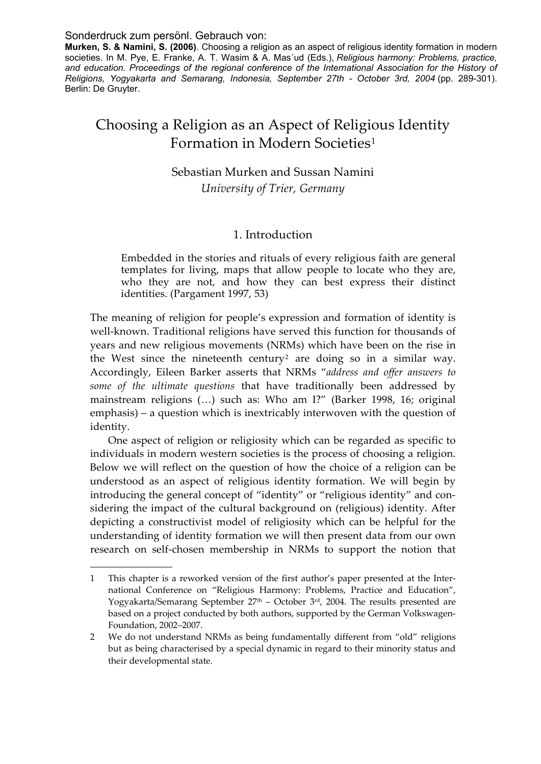Sonderdruck zum persönl. Gebrauch von:

**Murken, S. & Namini, S. (2006)**. Choosing a religion as an aspect of religious identity formation in modern societies. In M. Pye, E. Franke, A. T. Wasim & A. Mas´ud (Eds.), *Religious harmony: Problems, practice, and education. Proceedings of the regional conference of the International Association for the History of Religions, Yogyakarta and Semarang, Indonesia, September 27th - October 3rd, 2004* (pp. 289-301). Berlin: De Gruyter.

# Choosing a Religion as an Aspect of Religious Identity Formation in Modern Societies<sup>[1](#page-0-0)</sup>

Sebastian Murken and Sussan Namini *University of Trier, Germany*

## 1. Introduction

Embedded in the stories and rituals of every religious faith are general templates for living, maps that allow people to locate who they are, who they are not, and how they can best express their distinct identities. (Pargament 1997, 53)

The meaning of religion for people's expression and formation of identity is well-known. Traditional religions have served this function for thousands of years and new religious movements (NRMs) which have been on the rise in the West since the nineteenth century<sup>[2](#page-0-1)</sup> are doing so in a similar way. Accordingly, Eileen Barker asserts that NRMs "*address and offer answers to some of the ultimate questions* that have traditionally been addressed by mainstream religions (…) such as: Who am I?" (Barker 1998, 16; original emphasis) – a question which is inextricably interwoven with the question of identity.

One aspect of religion or religiosity which can be regarded as specific to individuals in modern western societies is the process of choosing a religion. Below we will reflect on the question of how the choice of a religion can be understood as an aspect of religious identity formation. We will begin by introducing the general concept of "identity" or "religious identity" and considering the impact of the cultural background on (religious) identity. After depicting a constructivist model of religiosity which can be helpful for the understanding of identity formation we will then present data from our own research on self‐chosen membership in NRMs to support the notion that

<span id="page-0-0"></span><sup>1</sup> This chapter is a reworked version of the first author's paper presented at the Inter‐ national Conference on "Religious Harmony: Problems, Practice and Education", Yogyakarta/Semarang September  $27<sup>th</sup>$  – October  $3<sup>rd</sup>$ , 2004. The results presented are based on a project conducted by both authors, supported by the German Volkswagen‐ Foundation, 2002–2007.

<span id="page-0-1"></span><sup>2</sup> We do not understand NRMs as being fundamentally different from "old" religions but as being characterised by a special dynamic in regard to their minority status and their developmental state.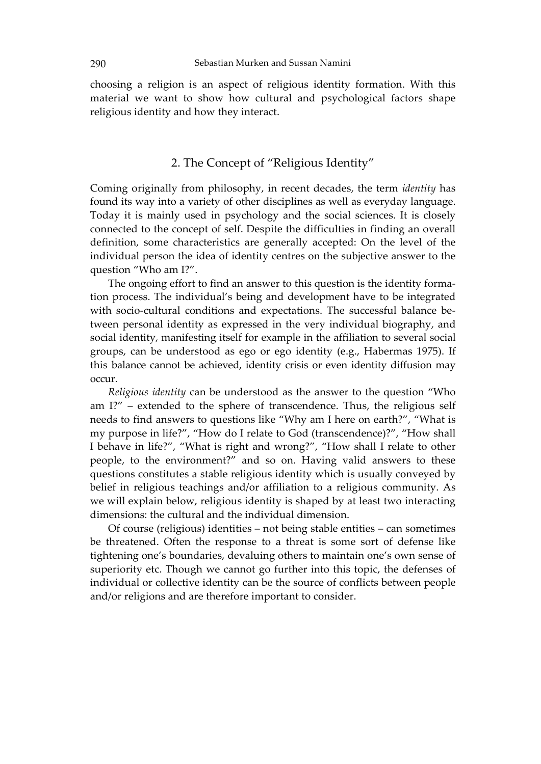choosing a religion is an aspect of religious identity formation. With this material we want to show how cultural and psychological factors shape religious identity and how they interact.

### 2. The Concept of "Religious Identity"

Coming originally from philosophy, in recent decades, the term *identity* has found its way into a variety of other disciplines as well as everyday language. Today it is mainly used in psychology and the social sciences. It is closely connected to the concept of self. Despite the difficulties in finding an overall definition, some characteristics are generally accepted: On the level of the individual person the idea of identity centres on the subjective answer to the question "Who am I?".

The ongoing effort to find an answer to this question is the identity formation process. The individual's being and development have to be integrated with socio-cultural conditions and expectations. The successful balance between personal identity as expressed in the very individual biography, and social identity, manifesting itself for example in the affiliation to several social groups, can be understood as ego or ego identity (e.g., Habermas 1975). If this balance cannot be achieved, identity crisis or even identity diffusion may occur.

*Religious identity* can be understood as the answer to the question "Who am I?" – extended to the sphere of transcendence. Thus, the religious self needs to find answers to questions like "Why am I here on earth?", "What is my purpose in life?", "How do I relate to God (transcendence)?", "How shall I behave in life?", "What is right and wrong?", "How shall I relate to other people, to the environment?" and so on. Having valid answers to these questions constitutes a stable religious identity which is usually conveyed by belief in religious teachings and/or affiliation to a religious community. As we will explain below, religious identity is shaped by at least two interacting dimensions: the cultural and the individual dimension.

Of course (religious) identities – not being stable entities – can sometimes be threatened. Often the response to a threat is some sort of defense like tightening one's boundaries, devaluing others to maintain one's own sense of superiority etc. Though we cannot go further into this topic, the defenses of individual or collective identity can be the source of conflicts between people and/or religions and are therefore important to consider.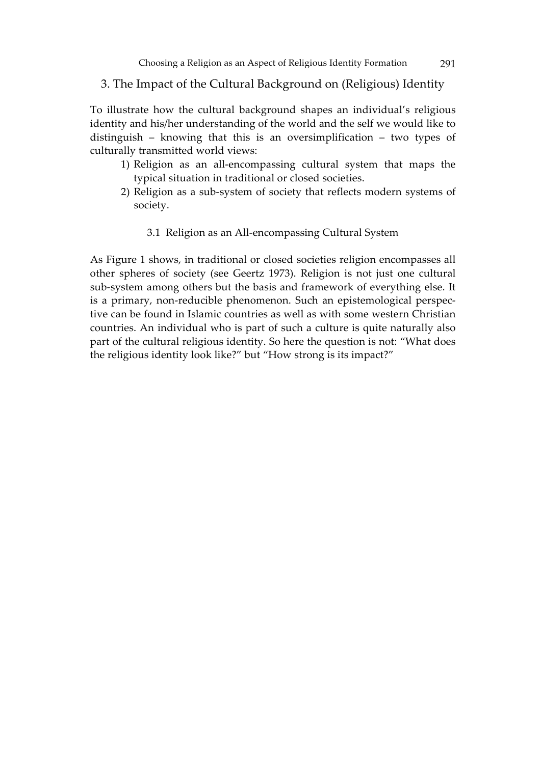## 3. The Impact of the Cultural Background on (Religious) Identity

To illustrate how the cultural background shapes an individual's religious identity and his/her understanding of the world and the self we would like to distinguish – knowing that this is an oversimplification – two types of culturally transmitted world views:

- 1) Religion as an all‐encompassing cultural system that maps the typical situation in traditional or closed societies.
- 2) Religion as a sub‐system of society that reflects modern systems of society.
	- 3.1 Religion as an All‐encompassing Cultural System

As Figure 1 shows, in traditional or closed societies religion encompasses all other spheres of society (see Geertz 1973). Religion is not just one cultural sub‐system among others but the basis and framework of everything else. It is a primary, non‐reducible phenomenon. Such an epistemological perspec‐ tive can be found in Islamic countries as well as with some western Christian countries. An individual who is part of such a culture is quite naturally also part of the cultural religious identity. So here the question is not: "What does the religious identity look like?" but "How strong is its impact?"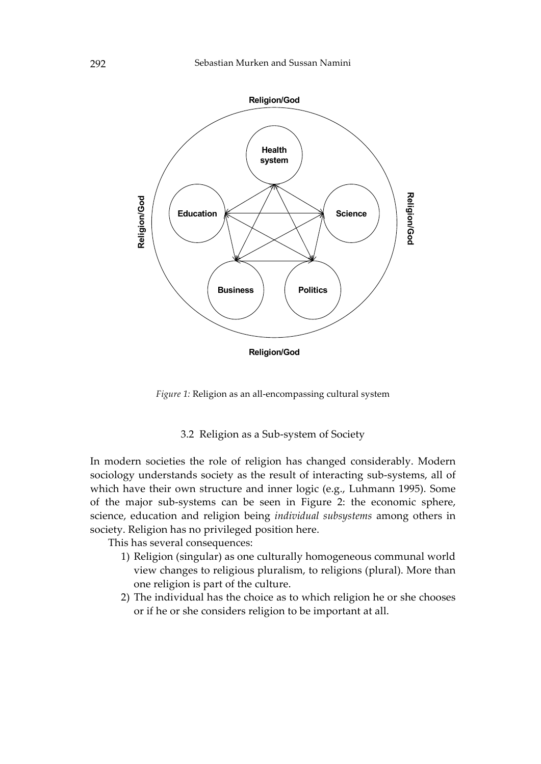

*Figure* 1: Religion as an all-encompassing cultural system

### 3.2 Religion as a Sub‐system of Society

In modern societies the role of religion has changed considerably. Modern sociology understands society as the result of interacting sub-systems, all of which have their own structure and inner logic (e.g., Luhmann 1995). Some of the major sub‐systems can be seen in Figure 2: the economic sphere, science, education and religion being *individual subsystems* among others in society. Religion has no privileged position here.

This has several consequences:

- 1) Religion (singular) as one culturally homogeneous communal world view changes to religious pluralism, to religions (plural). More than one religion is part of the culture.
- 2) The individual has the choice as to which religion he or she chooses or if he or she considers religion to be important at all.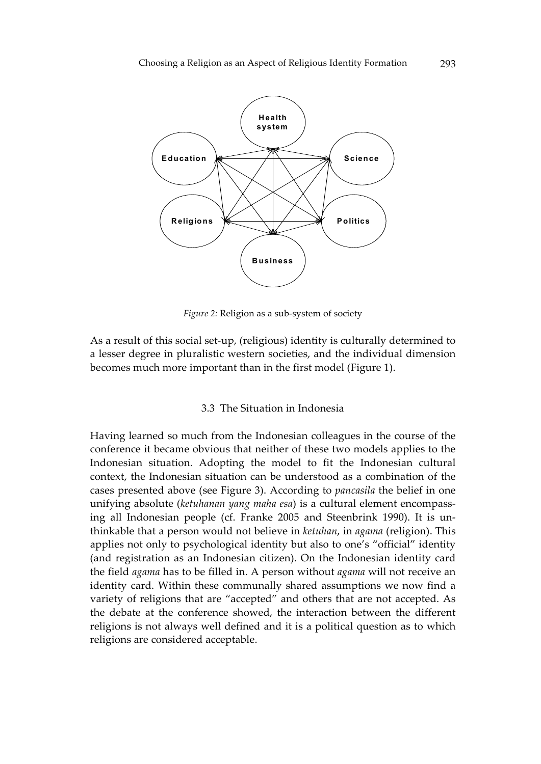

*Figure 2:* Religion as a sub‐system of society

As a result of this social set‐up, (religious) identity is culturally determined to a lesser degree in pluralistic western societies, and the individual dimension becomes much more important than in the first model (Figure 1).

### 3.3 The Situation in Indonesia

Having learned so much from the Indonesian colleagues in the course of the conference it became obvious that neither of these two models applies to the Indonesian situation. Adopting the model to fit the Indonesian cultural context, the Indonesian situation can be understood as a combination of the cases presented above (see Figure 3). According to *pancasila* the belief in one unifying absolute (*ketuhanan yang maha esa*) is a cultural element encompass‐ ing all Indonesian people (cf. Franke 2005 and Steenbrink 1990). It is un‐ thinkable that a person would not believe in *ketuhan*, in *agama* (religion). This applies not only to psychological identity but also to one's "official" identity (and registration as an Indonesian citizen). On the Indonesian identity card the field *agama* has to be filled in. A person without *agama* will not receive an identity card. Within these communally shared assumptions we now find a variety of religions that are "accepted" and others that are not accepted. As the debate at the conference showed, the interaction between the different religions is not always well defined and it is a political question as to which religions are considered acceptable.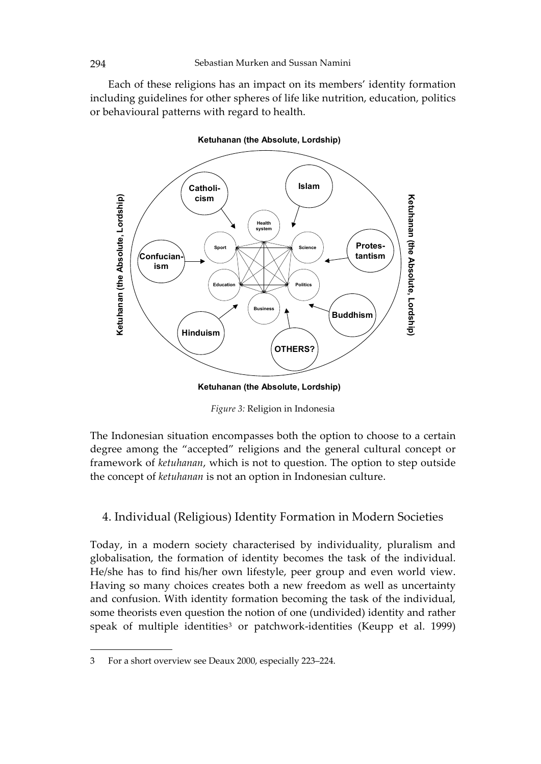Each of these religions has an impact on its members' identity formation including guidelines for other spheres of life like nutrition, education, politics or behavioural patterns with regard to health.



**Ketuhanan (the Absolute, Lordship)**

*Figure 3:* Religion in Indonesia

The Indonesian situation encompasses both the option to choose to a certain degree among the "accepted" religions and the general cultural concept or framework of *ketuhanan*, which is not to question. The option to step outside the concept of *ketuhanan* is not an option in Indonesian culture.

## 4. Individual (Religious) Identity Formation in Modern Societies

Today, in a modern society characterised by individuality, pluralism and globalisation, the formation of identity becomes the task of the individual. He/she has to find his/her own lifestyle, peer group and even world view. Having so many choices creates both a new freedom as well as uncertainty and confusion. With identity formation becoming the task of the individual, some theorists even question the notion of one (undivided) identity and rather speak of multiple identities<sup>[3](#page-5-0)</sup> or patchwork-identities (Keupp et al. 1999)

<span id="page-5-0"></span><sup>3</sup> For a short overview see Deaux 2000, especially 223–224.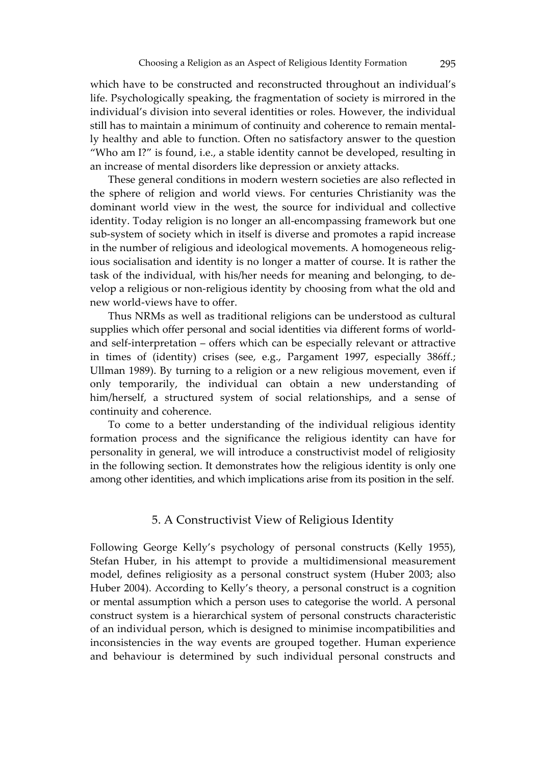which have to be constructed and reconstructed throughout an individual's life. Psychologically speaking, the fragmentation of society is mirrored in the individual's division into several identities or roles. However, the individual still has to maintain a minimum of continuity and coherence to remain mental‐ ly healthy and able to function. Often no satisfactory answer to the question "Who am I?" is found, i.e., a stable identity cannot be developed, resulting in an increase of mental disorders like depression or anxiety attacks.

These general conditions in modern western societies are also reflected in the sphere of religion and world views. For centuries Christianity was the dominant world view in the west, the source for individual and collective identity. Today religion is no longer an all‐encompassing framework but one sub‐system of society which in itself is diverse and promotes a rapid increase in the number of religious and ideological movements. A homogeneous religious socialisation and identity is no longer a matter of course. It is rather the task of the individual, with his/her needs for meaning and belonging, to de‐ velop a religious or non‐religious identity by choosing from what the old and new world‐views have to offer.

Thus NRMs as well as traditional religions can be understood as cultural supplies which offer personal and social identities via different forms of worldand self-interpretation – offers which can be especially relevant or attractive in times of (identity) crises (see, e.g., Pargament 1997, especially 386ff.; Ullman 1989). By turning to a religion or a new religious movement, even if only temporarily, the individual can obtain a new understanding of him/herself, a structured system of social relationships, and a sense of continuity and coherence.

To come to a better understanding of the individual religious identity formation process and the significance the religious identity can have for personality in general, we will introduce a constructivist model of religiosity in the following section. It demonstrates how the religious identity is only one among other identities, and which implications arise from its position in the self.

### 5. A Constructivist View of Religious Identity

Following George Kelly's psychology of personal constructs (Kelly 1955), Stefan Huber, in his attempt to provide a multidimensional measurement model, defines religiosity as a personal construct system (Huber 2003; also Huber 2004). According to Kelly's theory, a personal construct is a cognition or mental assumption which a person uses to categorise the world. A personal construct system is a hierarchical system of personal constructs characteristic of an individual person, which is designed to minimise incompatibilities and inconsistencies in the way events are grouped together. Human experience and behaviour is determined by such individual personal constructs and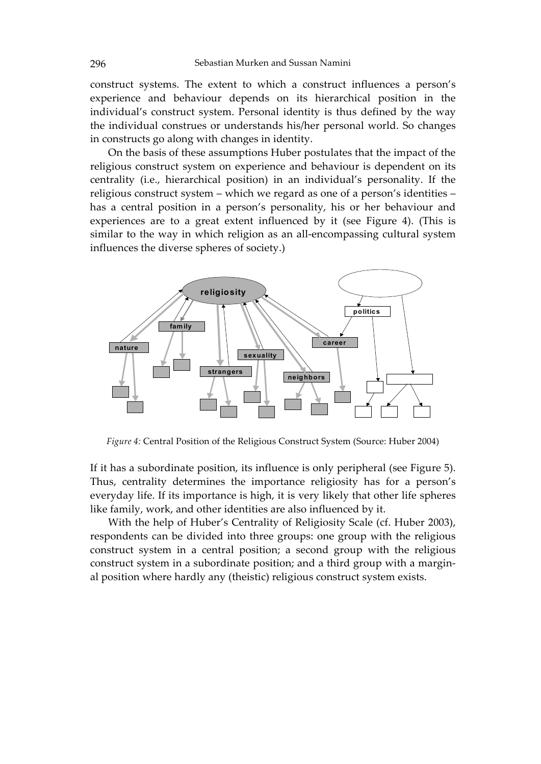construct systems. The extent to which a construct influences a person's experience and behaviour depends on its hierarchical position in the individual's construct system. Personal identity is thus defined by the way the individual construes or understands his/her personal world. So changes in constructs go along with changes in identity.

On the basis of these assumptions Huber postulates that the impact of the religious construct system on experience and behaviour is dependent on its centrality (i.e., hierarchical position) in an individual's personality. If the religious construct system – which we regard as one of a person's identities – has a central position in a person's personality, his or her behaviour and experiences are to a great extent influenced by it (see Figure 4). (This is similar to the way in which religion as an all‐encompassing cultural system influences the diverse spheres of society.)



*Figure 4:* Central Position of the Religious Construct System (Source: Huber 2004)

If it has a subordinate position, its influence is only peripheral (see Figure 5). Thus, centrality determines the importance religiosity has for a person's everyday life. If its importance is high, it is very likely that other life spheres like family, work, and other identities are also influenced by it.

With the help of Huber's Centrality of Religiosity Scale (cf. Huber 2003), respondents can be divided into three groups: one group with the religious construct system in a central position; a second group with the religious construct system in a subordinate position; and a third group with a margin‐ al position where hardly any (theistic) religious construct system exists.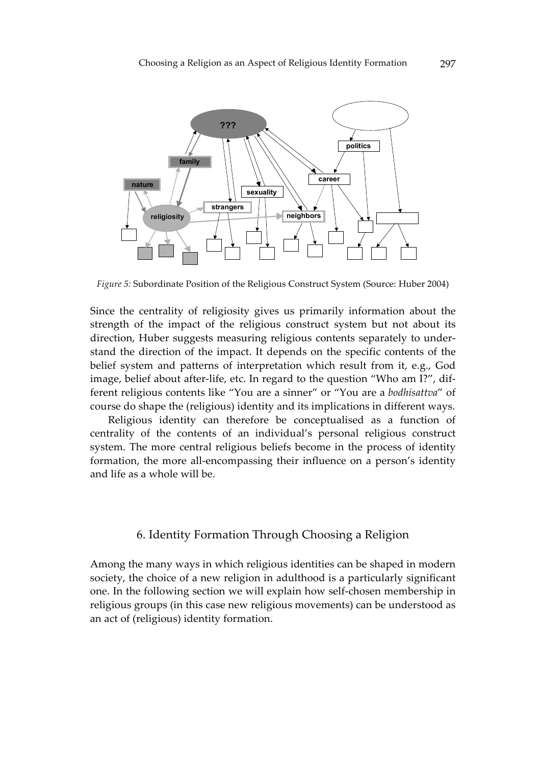

*Figure 5:* Subordinate Position of the Religious Construct System (Source: Huber 2004)

Since the centrality of religiosity gives us primarily information about the strength of the impact of the religious construct system but not about its direction, Huber suggests measuring religious contents separately to under‐ stand the direction of the impact. It depends on the specific contents of the belief system and patterns of interpretation which result from it, e.g., God image, belief about after-life, etc. In regard to the question "Who am I?", different religious contents like "You are a sinner" or "You are a *bodhisattva*" of course do shape the (religious) identity and its implications in different ways.

Religious identity can therefore be conceptualised as a function of centrality of the contents of an individual's personal religious construct system. The more central religious beliefs become in the process of identity formation, the more all-encompassing their influence on a person's identity and life as a whole will be.

### 6. Identity Formation Through Choosing a Religion

Among the many ways in which religious identities can be shaped in modern society, the choice of a new religion in adulthood is a particularly significant one. In the following section we will explain how self‐chosen membership in religious groups (in this case new religious movements) can be understood as an act of (religious) identity formation.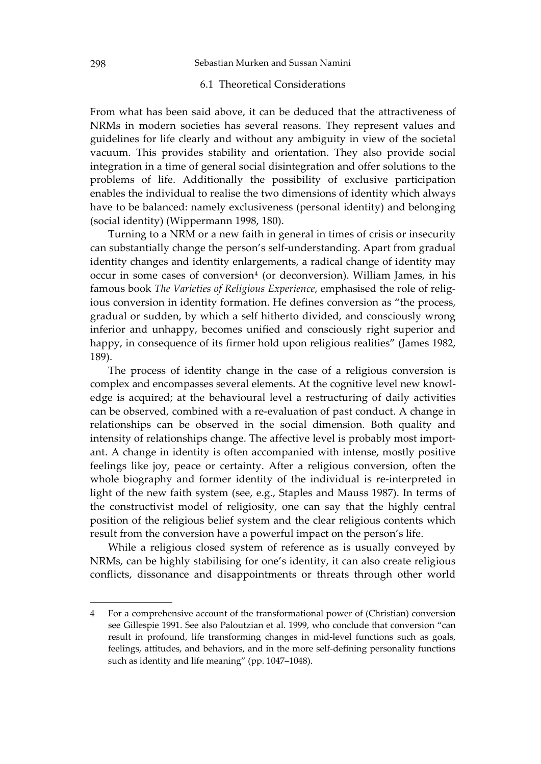#### 298 Sebastian Murken and Sussan Namini

#### 6.1 Theoretical Considerations

From what has been said above, it can be deduced that the attractiveness of NRMs in modern societies has several reasons. They represent values and guidelines for life clearly and without any ambiguity in view of the societal vacuum. This provides stability and orientation. They also provide social integration in a time of general social disintegration and offer solutions to the problems of life. Additionally the possibility of exclusive participation enables the individual to realise the two dimensions of identity which always have to be balanced: namely exclusiveness (personal identity) and belonging (social identity) (Wippermann 1998, 180).

Turning to a NRM or a new faith in general in times of crisis or insecurity can substantially change the person's self‐understanding. Apart from gradual identity changes and identity enlargements, a radical change of identity may occur in some cases of conversion<sup>[4](#page-9-0)</sup> (or deconversion). William James, in his famous book *The Varieties of Religious Experience*, emphasised the role of relig‐ ious conversion in identity formation. He defines conversion as "the process, gradual or sudden, by which a self hitherto divided, and consciously wrong inferior and unhappy, becomes unified and consciously right superior and happy, in consequence of its firmer hold upon religious realities" (James 1982, 189).

The process of identity change in the case of a religious conversion is complex and encompasses several elements. At the cognitive level new knowledge is acquired; at the behavioural level a restructuring of daily activities can be observed, combined with a re‐evaluation of past conduct. A change in relationships can be observed in the social dimension. Both quality and intensity of relationships change. The affective level is probably most important. A change in identity is often accompanied with intense, mostly positive feelings like joy, peace or certainty. After a religious conversion, often the whole biography and former identity of the individual is re-interpreted in light of the new faith system (see, e.g., Staples and Mauss 1987). In terms of the constructivist model of religiosity, one can say that the highly central position of the religious belief system and the clear religious contents which result from the conversion have a powerful impact on the person's life.

While a religious closed system of reference as is usually conveyed by NRMs, can be highly stabilising for one's identity, it can also create religious conflicts, dissonance and disappointments or threats through other world

<span id="page-9-0"></span><sup>4</sup> For a comprehensive account of the transformational power of (Christian) conversion see Gillespie 1991. See also Paloutzian et al. 1999, who conclude that conversion "can result in profound, life transforming changes in mid‐level functions such as goals, feelings, attitudes, and behaviors, and in the more self‐defining personality functions such as identity and life meaning" (pp. 1047–1048).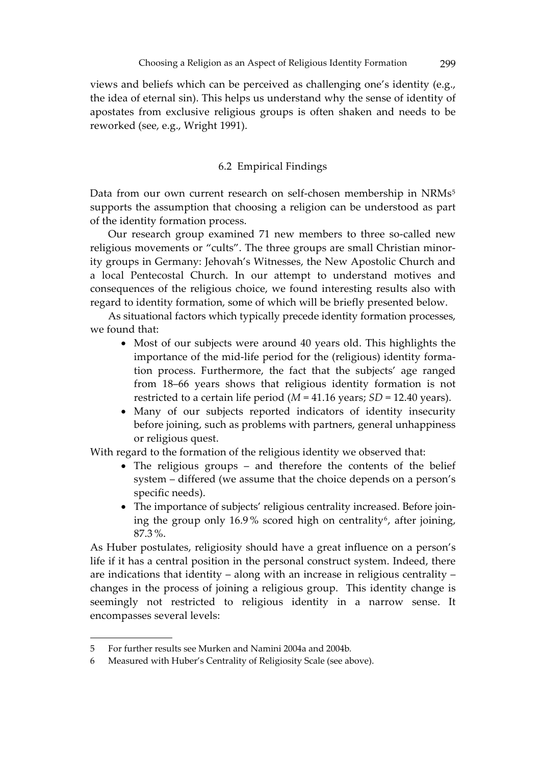views and beliefs which can be perceived as challenging one's identity (e.g., the idea of eternal sin). This helps us understand why the sense of identity of apostates from exclusive religious groups is often shaken and needs to be reworked (see, e.g., Wright 1991).

### 6.2 Empirical Findings

Data from our own current research on self-chosen membership in NRMs<sup>[5](#page-10-0)</sup> supports the assumption that choosing a religion can be understood as part of the identity formation process.

Our research group examined 71 new members to three so-called new religious movements or "cults". The three groups are small Christian minor‐ ity groups in Germany: Jehovah's Witnesses, the New Apostolic Church and a local Pentecostal Church. In our attempt to understand motives and consequences of the religious choice, we found interesting results also with regard to identity formation, some of which will be briefly presented below.

As situational factors which typically precede identity formation processes, we found that:

- Most of our subjects were around 40 years old. This highlights the importance of the mid-life period for the (religious) identity formation process. Furthermore, the fact that the subjects' age ranged from 18–66 years shows that religious identity formation is not restricted to a certain life period (*M* = 41.16 years; *SD* = 12.40 years).
- Many of our subjects reported indicators of identity insecurity before joining, such as problems with partners, general unhappiness or religious quest.

With regard to the formation of the religious identity we observed that:

- The religious groups and therefore the contents of the belief system – differed (we assume that the choice depends on a person's specific needs).
- The importance of subjects' religious centrality increased. Before join‐ ing the group only 1[6](#page-10-1).9% scored high on centrality<sup>6</sup>, after joining, 87.3 %.

As Huber postulates, religiosity should have a great influence on a person's life if it has a central position in the personal construct system. Indeed, there are indications that identity – along with an increase in religious centrality – changes in the process of joining a religious group. This identity change is seemingly not restricted to religious identity in a narrow sense. It encompasses several levels:

<span id="page-10-0"></span><sup>5</sup> For further results see Murken and Namini 2004a and 2004b*.*

<span id="page-10-1"></span><sup>6</sup> Measured with Huber's Centrality of Religiosity Scale (see above).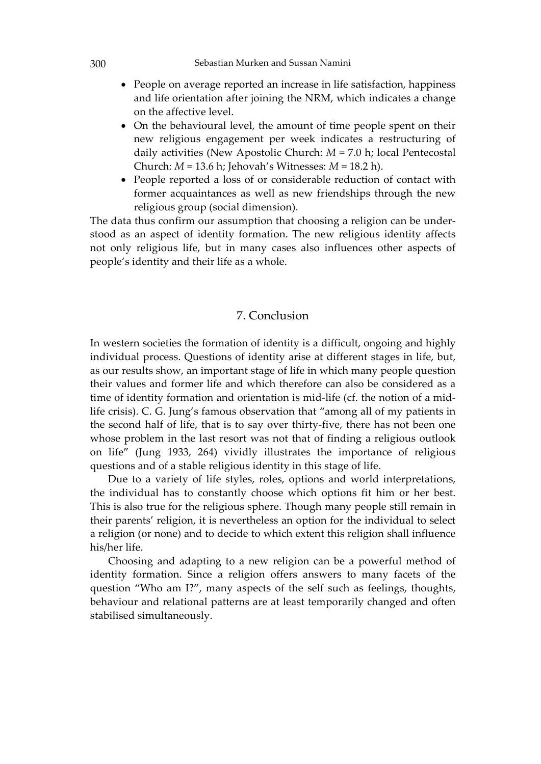- People on average reported an increase in life satisfaction, happiness and life orientation after joining the NRM, which indicates a change on the affective level.
- On the behavioural level, the amount of time people spent on their new religious engagement per week indicates a restructuring of daily activities (New Apostolic Church: *M* = 7.0 h; local Pentecostal Church: *M* = 13.6 h; Jehovah's Witnesses: *M* = 18.2 h).
- People reported a loss of or considerable reduction of contact with former acquaintances as well as new friendships through the new religious group (social dimension).

The data thus confirm our assumption that choosing a religion can be under‐ stood as an aspect of identity formation. The new religious identity affects not only religious life, but in many cases also influences other aspects of people's identity and their life as a whole.

## 7. Conclusion

In western societies the formation of identity is a difficult, ongoing and highly individual process. Questions of identity arise at different stages in life, but, as our results show, an important stage of life in which many people question their values and former life and which therefore can also be considered as a time of identity formation and orientation is mid-life (cf. the notion of a midlife crisis). C. G. Jung's famous observation that "among all of my patients in the second half of life, that is to say over thirty‐five, there has not been one whose problem in the last resort was not that of finding a religious outlook on life" (Jung 1933, 264) vividly illustrates the importance of religious questions and of a stable religious identity in this stage of life.

Due to a variety of life styles, roles, options and world interpretations, the individual has to constantly choose which options fit him or her best. This is also true for the religious sphere. Though many people still remain in their parents' religion, it is nevertheless an option for the individual to select a religion (or none) and to decide to which extent this religion shall influence his/her life.

Choosing and adapting to a new religion can be a powerful method of identity formation. Since a religion offers answers to many facets of the question "Who am I?", many aspects of the self such as feelings, thoughts, behaviour and relational patterns are at least temporarily changed and often stabilised simultaneously.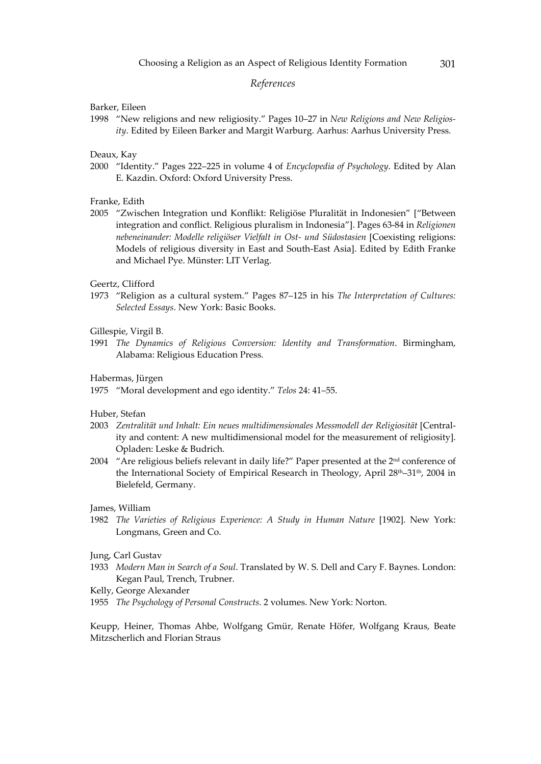#### *References*

#### Barker, Eileen

1998 "New religions and new religiosity." Pages 10–27 in *New Religions and New Religios‐ ity*. Edited by Eileen Barker and Margit Warburg. Aarhus: Aarhus University Press.

#### Deaux, Kay

2000 "Identity." Pages 222–225 in volume 4 of *Encyclopedia of Psychology*. Edited by Alan E. Kazdin. Oxford: Oxford University Press.

Franke, Edith

2005 "Zwischen Integration und Konflikt: Religiöse Pluralität in Indonesien" ["Between integration and conflict. Religious pluralism in Indonesia"]. Pages 63‐84 in *Religionen nebeneinander: Modelle religiöser Vielfalt in Ost‐ und Südostasien* [Coexisting religions: Models of religious diversity in East and South‐East Asia]. Edited by Edith Franke and Michael Pye. Münster: LIT Verlag.

#### Geertz, Clifford

1973 "Religion as a cultural system." Pages 87–125 in his *The Interpretation of Cultures: Selected Essays*. New York: Basic Books.

Gillespie, Virgil B.

1991 *The Dynamics of Religious Conversion: Identity and Transformation*. Birmingham, Alabama: Religious Education Press.

Habermas, Jürgen

1975 "Moral development and ego identity." *Telos* 24: 41–55.

Huber, Stefan

- 2003 *Zentralität und Inhalt: Ein neues multidimensionales Messmodell der Religiosität* [Central‐ ity and content: A new multidimensional model for the measurement of religiosity]. Opladen: Leske & Budrich.
- 2004 "Are religious beliefs relevant in daily life?" Paper presented at the 2<sup>nd</sup> conference of the International Society of Empirical Research in Theology, April  $28th-31th$ , 2004 in Bielefeld, Germany.

James, William

1982 *The Varieties of Religious Experience: A Study in Human Nature* [1902]. New York: Longmans, Green and Co.

#### Jung, Carl Gustav

- 1933 *Modern Man in Search of a Soul*. Translated by W. S. Dell and Cary F. Baynes. London: Kegan Paul, Trench, Trubner.
- Kelly, George Alexander
- 1955 *The Psychology of Personal Constructs*. 2 volumes. New York: Norton.

Keupp, Heiner, Thomas Ahbe, Wolfgang Gmür, Renate Höfer, Wolfgang Kraus, Beate Mitzscherlich and Florian Straus